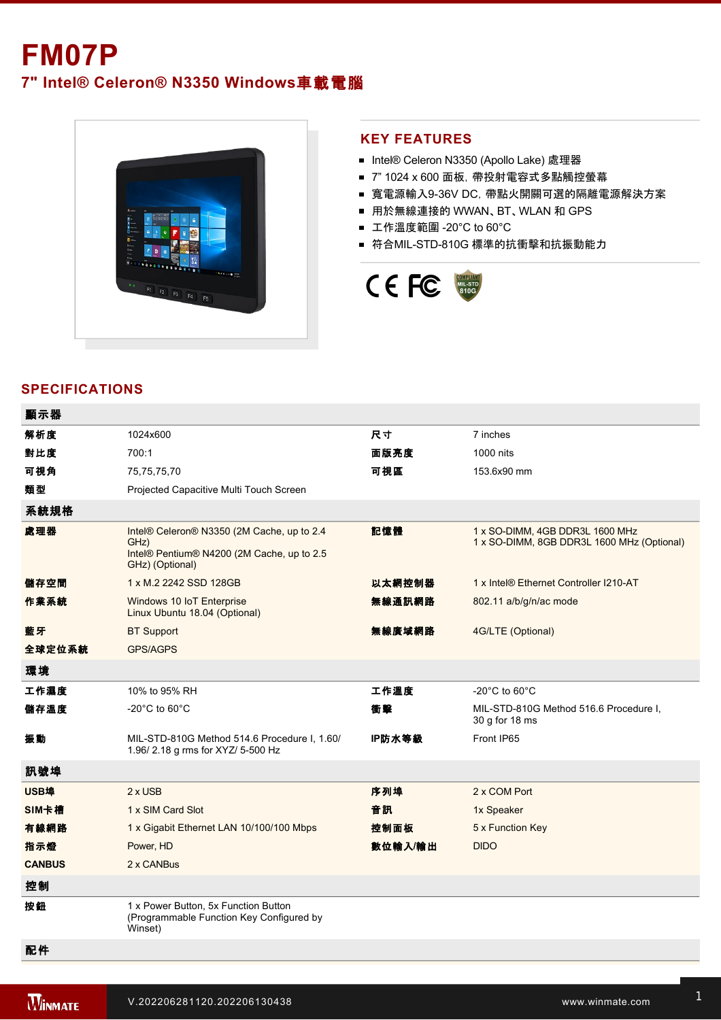# **FM07P**

**7" Intel® Celeron® N3350 Windows**車載電腦



#### **KEY FEATURES**

- Intel® Celeron N3350 (Apollo Lake) 處理器
- 7" 1024 x 600 面板, 帶投射電容式多點觸控螢幕
- 寬電源輸入9-36V DC, 帶點火開關可選的隔離電源解決方案
- 用於無線連接的 WWAN、BT、WLAN 和 GPS
- 工作溫度範圍 -20°C to 60°C
- 符合MIL-STD-810G 標準的抗衝擊和抗振動能力



## **SPECIFICATIONS**

| 顯示器           |                                                                                                                     |         |                                                                               |
|---------------|---------------------------------------------------------------------------------------------------------------------|---------|-------------------------------------------------------------------------------|
| 解析度           | 1024x600                                                                                                            | 尺寸      | 7 inches                                                                      |
| 對比度           | 700:1                                                                                                               | 面版亮度    | 1000 nits                                                                     |
| 可視角           | 75,75,75,70                                                                                                         | 可視區     | 153.6x90 mm                                                                   |
| 類型            | Projected Capacitive Multi Touch Screen                                                                             |         |                                                                               |
| 系統規格          |                                                                                                                     |         |                                                                               |
| 處理器           | Intel® Celeron® N3350 (2M Cache, up to 2.4<br>GHz)<br>Intel® Pentium® N4200 (2M Cache, up to 2.5<br>GHz) (Optional) | 記憶體     | 1 x SO-DIMM, 4GB DDR3L 1600 MHz<br>1 x SO-DIMM, 8GB DDR3L 1600 MHz (Optional) |
| 儲存空間          | 1 x M.2 2242 SSD 128GB                                                                                              | 以太網控制器  | 1 x Intel® Ethernet Controller I210-AT                                        |
| 作業系統          | Windows 10 IoT Enterprise<br>Linux Ubuntu 18.04 (Optional)                                                          | 無線通訊網路  | 802.11 a/b/g/n/ac mode                                                        |
| 藍牙            | <b>BT Support</b>                                                                                                   | 無線廣域網路  | 4G/LTE (Optional)                                                             |
| 全球定位系統        | <b>GPS/AGPS</b>                                                                                                     |         |                                                                               |
| 環境            |                                                                                                                     |         |                                                                               |
| 工作濕度          | 10% to 95% RH                                                                                                       | 工作溫度    | $-20^{\circ}$ C to 60 $^{\circ}$ C                                            |
| 儲存溫度          | -20 $^{\circ}$ C to 60 $^{\circ}$ C                                                                                 | 衝擊      | MIL-STD-810G Method 516.6 Procedure I,<br>30 g for 18 ms                      |
| 振動            | MIL-STD-810G Method 514.6 Procedure I, 1.60/<br>1.96/2.18 g rms for XYZ/ 5-500 Hz                                   | IP防水等級  | Front IP65                                                                    |
| 訊號埠           |                                                                                                                     |         |                                                                               |
| USB埠          | $2 \times$ USB                                                                                                      | 序列埠     | 2 x COM Port                                                                  |
| SIM卡槽         | 1 x SIM Card Slot                                                                                                   | 音訊      | 1x Speaker                                                                    |
| 有線網路          | 1 x Gigabit Ethernet LAN 10/100/100 Mbps                                                                            | 控制面板    | 5 x Function Key                                                              |
| 指示燈           | Power, HD                                                                                                           | 數位輸入/輸出 | <b>DIDO</b>                                                                   |
| <b>CANBUS</b> | 2 x CANBus                                                                                                          |         |                                                                               |
| 控制            |                                                                                                                     |         |                                                                               |
| 按鈕            | 1 x Power Button, 5x Function Button<br>(Programmable Function Key Configured by<br>Winset)                         |         |                                                                               |
| 配件            |                                                                                                                     |         |                                                                               |

Power Converter Cable

Driver CD

GPS Antenna, 3m (Optional)